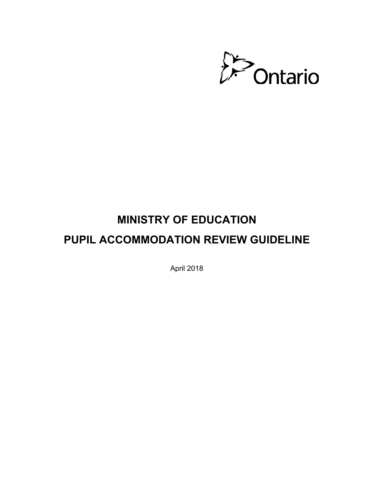

# **MINISTRY OF EDUCATION PUPIL ACCOMMODATION REVIEW GUIDELINE**

April 2018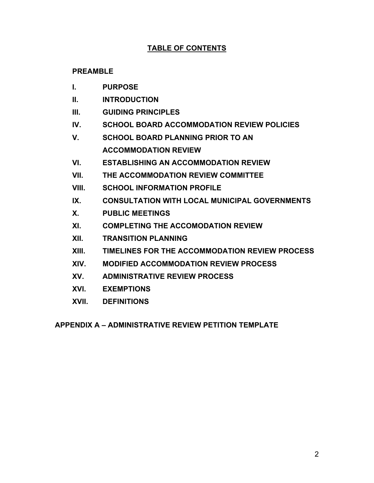### **TABLE OF CONTENTS**

### **[PREAMBLE](#page-2-0)**

- **I. [PURPOSE](#page-3-0)**
- **II. [INTRODUCTION](#page-3-1)**
- **III. [GUIDING PRINCIPLES](#page-3-2)**
- **IV. [SCHOOL BOARD ACCOMMODATION REVIEW POLICIES](#page-4-0)**
- **V. [SCHOOL BOARD PLANNING PRIOR TO AN](#page-4-1) ACCOMMODATION REVIEW**
- **VI. [ESTABLISHING AN ACCOMMODATION REVIEW](#page-5-0)**
- **VII. [THE ACCOMMODATION REVIEW COMMITTEE](#page-7-0)**
- **VIII. [SCHOOL INFORMATION PROFILE](#page-8-0)**
- **IX. [CONSULTATION WITH LOCAL MUNICIPAL GOVERNMENTS](#page-10-0)**
- **X. [PUBLIC MEETINGS](#page-11-0)**
- **XI. [COMPLETING THE ACCOMODATION REVIEW](#page-11-1)**
- **XII. [TRANSITION PLANNING](#page-13-0)**
- **XIII. [TIMELINES FOR THE ACCOMMODATION REVIEW PROCESS](#page-13-1)**
- **XIV. [MODIFIED ACCOMMODATION REVIEW PROCESS](#page-15-0)**
- **XV. [ADMINISTRATIVE REVIEW PROCESS](#page-18-0)**
- **XVI. [EXEMPTIONS](#page-21-0)**
- **XVII. [DEFINITIONS](#page-22-0)**

**[APPENDIX A – ADMINISTRATIVE REVIEW PETITION TEMPLATE](#page-24-0)**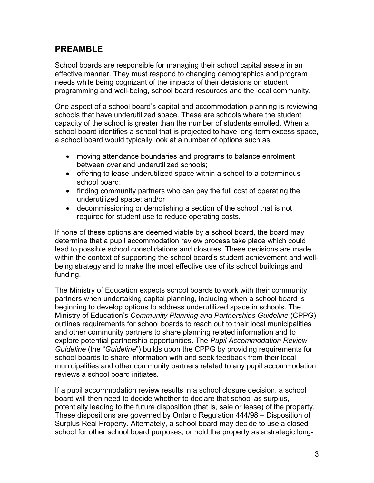### <span id="page-2-0"></span>**PREAMBLE**

School boards are responsible for managing their school capital assets in an effective manner. They must respond to changing demographics and program needs while being cognizant of the impacts of their decisions on student programming and well-being, school board resources and the local community.

One aspect of a school board's capital and accommodation planning is reviewing schools that have underutilized space. These are schools where the student capacity of the school is greater than the number of students enrolled. When a school board identifies a school that is projected to have long-term excess space, a school board would typically look at a number of options such as:

- moving attendance boundaries and programs to balance enrolment between over and underutilized schools;
- offering to lease underutilized space within a school to a coterminous school board;
- finding community partners who can pay the full cost of operating the underutilized space; and/or
- decommissioning or demolishing a section of the school that is not required for student use to reduce operating costs.

If none of these options are deemed viable by a school board, the board may determine that a pupil accommodation review process take place which could lead to possible school consolidations and closures. These decisions are made within the context of supporting the school board's student achievement and wellbeing strategy and to make the most effective use of its school buildings and funding.

The Ministry of Education expects school boards to work with their community partners when undertaking capital planning, including when a school board is beginning to develop options to address underutilized space in schools. The Ministry of Education's *Community Planning and Partnerships Guideline* (CPPG) outlines requirements for school boards to reach out to their local municipalities and other community partners to share planning related information and to explore potential partnership opportunities. The *Pupil Accommodation Review Guideline* (the "*Guideline*") builds upon the CPPG by providing requirements for school boards to share information with and seek feedback from their local municipalities and other community partners related to any pupil accommodation reviews a school board initiates.

If a pupil accommodation review results in a school closure decision, a school board will then need to decide whether to declare that school as surplus, potentially leading to the future disposition (that is, sale or lease) of the property. These dispositions are governed by Ontario Regulation 444/98 – Disposition of Surplus Real Property. Alternately, a school board may decide to use a closed school for other school board purposes, or hold the property as a strategic long-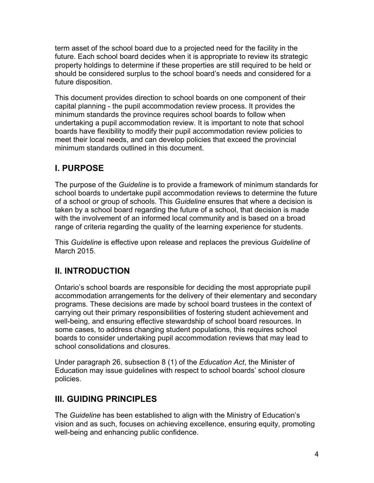term asset of the school board due to a projected need for the facility in the future. Each school board decides when it is appropriate to review its strategic property holdings to determine if these properties are still required to be held or should be considered surplus to the school board's needs and considered for a future disposition.

This document provides direction to school boards on one component of their capital planning - the pupil accommodation review process. It provides the minimum standards the province requires school boards to follow when undertaking a pupil accommodation review. It is important to note that school boards have flexibility to modify their pupil accommodation review policies to meet their local needs, and can develop policies that exceed the provincial minimum standards outlined in this document.

# <span id="page-3-0"></span>**I. PURPOSE**

The purpose of the *Guideline* is to provide a framework of minimum standards for school boards to undertake pupil accommodation reviews to determine the future of a school or group of schools. This *Guideline* ensures that where a decision is taken by a school board regarding the future of a school, that decision is made with the involvement of an informed local community and is based on a broad range of criteria regarding the quality of the learning experience for students.

This *Guideline* is effective upon release and replaces the previous *Guideline* of March 2015.

# <span id="page-3-1"></span>**II. INTRODUCTION**

Ontario's school boards are responsible for deciding the most appropriate pupil accommodation arrangements for the delivery of their elementary and secondary programs. These decisions are made by school board trustees in the context of carrying out their primary responsibilities of fostering student achievement and well-being, and ensuring effective stewardship of school board resources. In some cases, to address changing student populations, this requires school boards to consider undertaking pupil accommodation reviews that may lead to school consolidations and closures.

Under paragraph 26, subsection 8 (1) of the *Education Act*, the Minister of Education may issue guidelines with respect to school boards' school closure policies.

# <span id="page-3-2"></span>**III. GUIDING PRINCIPLES**

The *Guideline* has been established to align with the Ministry of Education's vision and as such, focuses on achieving excellence, ensuring equity, promoting well-being and enhancing public confidence.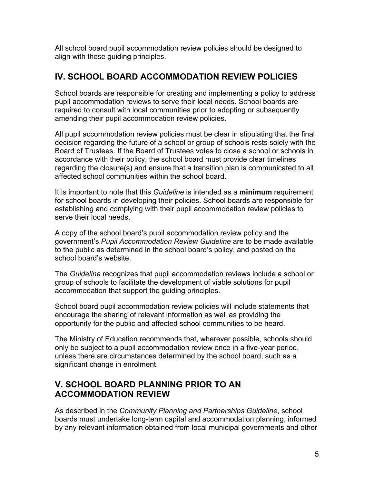All school board pupil accommodation review policies should be designed to align with these guiding principles.

# <span id="page-4-0"></span>**IV. SCHOOL BOARD ACCOMMODATION REVIEW POLICIES**

School boards are responsible for creating and implementing a policy to address pupil accommodation reviews to serve their local needs. School boards are required to consult with local communities prior to adopting or subsequently amending their pupil accommodation review policies.

All pupil accommodation review policies must be clear in stipulating that the final decision regarding the future of a school or group of schools rests solely with the Board of Trustees. If the Board of Trustees votes to close a school or schools in accordance with their policy, the school board must provide clear timelines regarding the closure(s) and ensure that a transition plan is communicated to all affected school communities within the school board.

It is important to note that this *Guideline* is intended as a **minimum** requirement for school boards in developing their policies. School boards are responsible for establishing and complying with their pupil accommodation review policies to serve their local needs.

A copy of the school board's pupil accommodation review policy and the government's *Pupil Accommodation Review Guideline* are to be made available to the public as determined in the school board's policy, and posted on the school board's website.

The *Guideline* recognizes that pupil accommodation reviews include a school or group of schools to facilitate the development of viable solutions for pupil accommodation that support the guiding principles.

School board pupil accommodation review policies will include statements that encourage the sharing of relevant information as well as providing the opportunity for the public and affected school communities to be heard.

The Ministry of Education recommends that, wherever possible, schools should only be subject to a pupil accommodation review once in a five-year period, unless there are circumstances determined by the school board, such as a significant change in enrolment.

### <span id="page-4-1"></span>**V. SCHOOL BOARD PLANNING PRIOR TO AN ACCOMMODATION REVIEW**

As described in the *Community Planning and Partnerships Guideline*, school boards must undertake long-term capital and accommodation planning, informed by any relevant information obtained from local municipal governments and other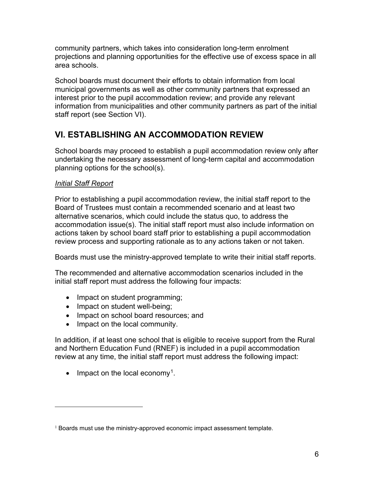community partners, which takes into consideration long-term enrolment projections and planning opportunities for the effective use of excess space in all area schools.

School boards must document their efforts to obtain information from local municipal governments as well as other community partners that expressed an interest prior to the pupil accommodation review; and provide any relevant information from municipalities and other community partners as part of the initial staff report (see Section VI).

# <span id="page-5-0"></span>**VI. ESTABLISHING AN ACCOMMODATION REVIEW**

School boards may proceed to establish a pupil accommodation review only after undertaking the necessary assessment of long-term capital and accommodation planning options for the school(s).

### *Initial Staff Report*

Prior to establishing a pupil accommodation review, the initial staff report to the Board of Trustees must contain a recommended scenario and at least two alternative scenarios, which could include the status quo, to address the accommodation issue(s). The initial staff report must also include information on actions taken by school board staff prior to establishing a pupil accommodation review process and supporting rationale as to any actions taken or not taken.

Boards must use the ministry-approved template to write their initial staff reports.

The recommended and alternative accommodation scenarios included in the initial staff report must address the following four impacts:

- Impact on student programming;
- Impact on student well-being;
- Impact on school board resources; and
- Impact on the local community.

In addition, if at least one school that is eligible to receive support from the Rural and Northern Education Fund (RNEF) is included in a pupil accommodation review at any time, the initial staff report must address the following impact:

 $\bullet$  Impact on the local economy<sup>1</sup>.

 $1$  Boards must use the ministry-approved economic impact assessment template.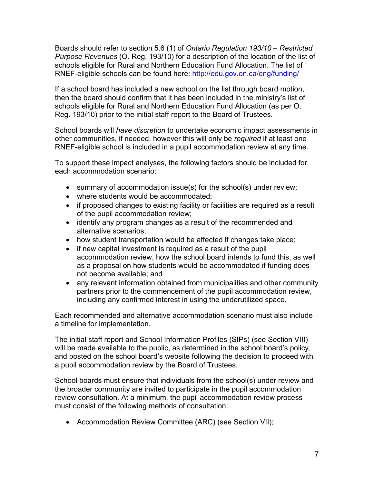Boards should refer to section 5.6 (1) of *Ontario Regulation 193/10 – Restricted Purpose Revenues* (O. Reg. 193/10) for a description of the location of the list of schools eligible for Rural and Northern Education Fund Allocation. The list of RNEF-eligible schools can be found here: <http://edu.gov.on.ca/eng/funding/>

If a school board has included a new school on the list through board motion, then the board should confirm that it has been included in the ministry's list of schools eligible for Rural and Northern Education Fund Allocation (as per O. Reg. 193/10) prior to the initial staff report to the Board of Trustees.

School boards will *have discretion* to undertake economic impact assessments in other communities, if needed, however this will only be *required* if at least one RNEF-eligible school is included in a pupil accommodation review at any time.

To support these impact analyses, the following factors should be included for each accommodation scenario:

- summary of accommodation issue(s) for the school(s) under review;
- where students would be accommodated;
- if proposed changes to existing facility or facilities are required as a result of the pupil accommodation review;
- identify any program changes as a result of the recommended and alternative scenarios;
- how student transportation would be affected if changes take place;
- if new capital investment is required as a result of the pupil accommodation review, how the school board intends to fund this, as well as a proposal on how students would be accommodated if funding does not become available; and
- any relevant information obtained from municipalities and other community partners prior to the commencement of the pupil accommodation review, including any confirmed interest in using the underutilized space.

Each recommended and alternative accommodation scenario must also include a timeline for implementation.

The initial staff report and School Information Profiles (SIPs) (see Section VIII) will be made available to the public, as determined in the school board's policy, and posted on the school board's website following the decision to proceed with a pupil accommodation review by the Board of Trustees.

School boards must ensure that individuals from the school(s) under review and the broader community are invited to participate in the pupil accommodation review consultation. At a minimum, the pupil accommodation review process must consist of the following methods of consultation:

• Accommodation Review Committee (ARC) (see Section VII);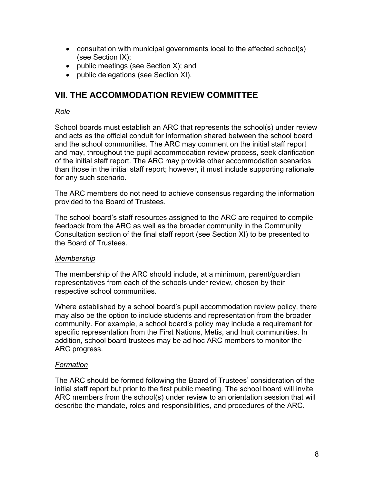- consultation with municipal governments local to the affected school(s) (see Section IX);
- public meetings (see Section X); and
- public delegations (see Section XI).

### <span id="page-7-0"></span>**VII. THE ACCOMMODATION REVIEW COMMITTEE**

### *Role*

School boards must establish an ARC that represents the school(s) under review and acts as the official conduit for information shared between the school board and the school communities. The ARC may comment on the initial staff report and may, throughout the pupil accommodation review process, seek clarification of the initial staff report. The ARC may provide other accommodation scenarios than those in the initial staff report; however, it must include supporting rationale for any such scenario.

The ARC members do not need to achieve consensus regarding the information provided to the Board of Trustees.

The school board's staff resources assigned to the ARC are required to compile feedback from the ARC as well as the broader community in the Community Consultation section of the final staff report (see Section XI) to be presented to the Board of Trustees.

#### *Membership*

The membership of the ARC should include, at a minimum, parent/guardian representatives from each of the schools under review, chosen by their respective school communities.

Where established by a school board's pupil accommodation review policy, there may also be the option to include students and representation from the broader community. For example, a school board's policy may include a requirement for specific representation from the First Nations, Metis, and Inuit communities. In addition, school board trustees may be ad hoc ARC members to monitor the ARC progress.

### *Formation*

The ARC should be formed following the Board of Trustees' consideration of the initial staff report but prior to the first public meeting. The school board will invite ARC members from the school(s) under review to an orientation session that will describe the mandate, roles and responsibilities, and procedures of the ARC.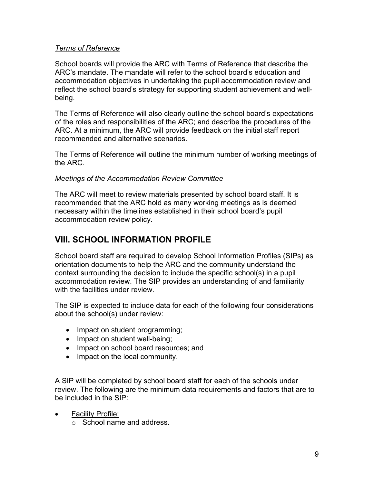### *Terms of Reference*

School boards will provide the ARC with Terms of Reference that describe the ARC's mandate. The mandate will refer to the school board's education and accommodation objectives in undertaking the pupil accommodation review and reflect the school board's strategy for supporting student achievement and wellbeing.

The Terms of Reference will also clearly outline the school board's expectations of the roles and responsibilities of the ARC; and describe the procedures of the ARC. At a minimum, the ARC will provide feedback on the initial staff report recommended and alternative scenarios.

The Terms of Reference will outline the minimum number of working meetings of the ARC.

### *Meetings of the Accommodation Review Committee*

The ARC will meet to review materials presented by school board staff. It is recommended that the ARC hold as many working meetings as is deemed necessary within the timelines established in their school board's pupil accommodation review policy.

# <span id="page-8-0"></span>**VIII. SCHOOL INFORMATION PROFILE**

School board staff are required to develop School Information Profiles (SIPs) as orientation documents to help the ARC and the community understand the context surrounding the decision to include the specific school(s) in a pupil accommodation review. The SIP provides an understanding of and familiarity with the facilities under review.

The SIP is expected to include data for each of the following four considerations about the school(s) under review:

- Impact on student programming;
- Impact on student well-being;
- Impact on school board resources; and
- Impact on the local community.

A SIP will be completed by school board staff for each of the schools under review. The following are the minimum data requirements and factors that are to be included in the SIP:

- Facility Profile:
	- o School name and address.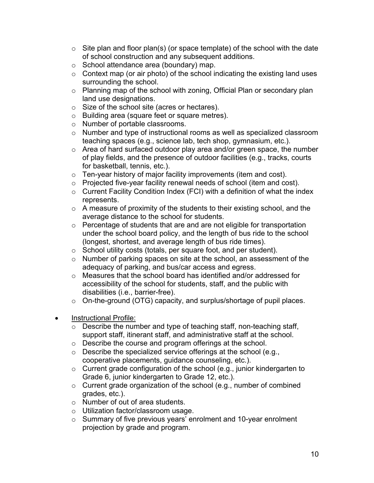- $\circ$  Site plan and floor plan(s) (or space template) of the school with the date of school construction and any subsequent additions.
- o School attendance area (boundary) map.
- $\circ$  Context map (or air photo) of the school indicating the existing land uses surrounding the school.
- o Planning map of the school with zoning, Official Plan or secondary plan land use designations.
- o Size of the school site (acres or hectares).
- o Building area (square feet or square metres).
- o Number of portable classrooms.
- o Number and type of instructional rooms as well as specialized classroom teaching spaces (e.g., science lab, tech shop, gymnasium, etc.).
- o Area of hard surfaced outdoor play area and/or green space, the number of play fields, and the presence of outdoor facilities (e.g., tracks, courts for basketball, tennis, etc.).
- o Ten-year history of major facility improvements (item and cost).
- o Projected five-year facility renewal needs of school (item and cost).
- $\circ$  Current Facility Condition Index (FCI) with a definition of what the index represents.
- $\circ$  A measure of proximity of the students to their existing school, and the average distance to the school for students.
- o Percentage of students that are and are not eligible for transportation under the school board policy, and the length of bus ride to the school (longest, shortest, and average length of bus ride times).
- o School utility costs (totals, per square foot, and per student).
- o Number of parking spaces on site at the school, an assessment of the adequacy of parking, and bus/car access and egress.
- o Measures that the school board has identified and/or addressed for accessibility of the school for students, staff, and the public with disabilities (i.e., barrier-free).
- o On-the-ground (OTG) capacity, and surplus/shortage of pupil places.
- Instructional Profile:
	- $\circ$  Describe the number and type of teaching staff, non-teaching staff, support staff, itinerant staff, and administrative staff at the school.
	- o Describe the course and program offerings at the school.
	- $\circ$  Describe the specialized service offerings at the school (e.g., cooperative placements, guidance counseling, etc.).
	- o Current grade configuration of the school (e.g., junior kindergarten to Grade 6, junior kindergarten to Grade 12, etc.).
	- o Current grade organization of the school (e.g., number of combined grades, etc.).
	- o Number of out of area students.
	- o Utilization factor/classroom usage.
	- o Summary of five previous years' enrolment and 10-year enrolment projection by grade and program.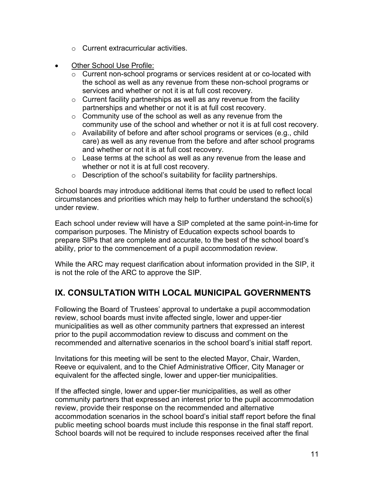- o Current extracurricular activities.
- Other School Use Profile:
	- o Current non-school programs or services resident at or co-located with the school as well as any revenue from these non-school programs or services and whether or not it is at full cost recovery.
	- $\circ$  Current facility partnerships as well as any revenue from the facility partnerships and whether or not it is at full cost recovery.
	- $\circ$  Community use of the school as well as any revenue from the community use of the school and whether or not it is at full cost recovery.
	- o Availability of before and after school programs or services (e.g., child care) as well as any revenue from the before and after school programs and whether or not it is at full cost recovery.
	- $\circ$  Lease terms at the school as well as any revenue from the lease and whether or not it is at full cost recovery.
	- $\circ$  Description of the school's suitability for facility partnerships.

School boards may introduce additional items that could be used to reflect local circumstances and priorities which may help to further understand the school(s) under review.

Each school under review will have a SIP completed at the same point-in-time for comparison purposes. The Ministry of Education expects school boards to prepare SIPs that are complete and accurate, to the best of the school board's ability, prior to the commencement of a pupil accommodation review.

While the ARC may request clarification about information provided in the SIP, it is not the role of the ARC to approve the SIP.

# <span id="page-10-0"></span>**IX. CONSULTATION WITH LOCAL MUNICIPAL GOVERNMENTS**

Following the Board of Trustees' approval to undertake a pupil accommodation review, school boards must invite affected single, lower and upper-tier municipalities as well as other community partners that expressed an interest prior to the pupil accommodation review to discuss and comment on the recommended and alternative scenarios in the school board's initial staff report.

Invitations for this meeting will be sent to the elected Mayor, Chair, Warden, Reeve or equivalent, and to the Chief Administrative Officer, City Manager or equivalent for the affected single, lower and upper-tier municipalities.

If the affected single, lower and upper-tier municipalities, as well as other community partners that expressed an interest prior to the pupil accommodation review, provide their response on the recommended and alternative accommodation scenarios in the school board's initial staff report before the final public meeting school boards must include this response in the final staff report. School boards will not be required to include responses received after the final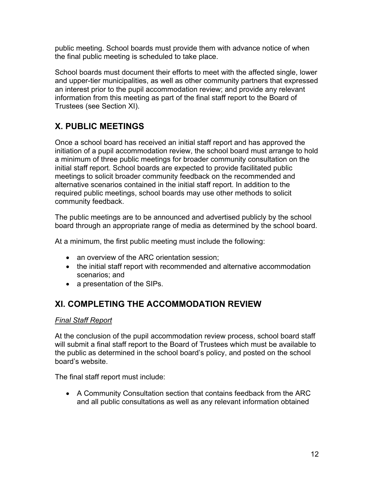public meeting. School boards must provide them with advance notice of when the final public meeting is scheduled to take place.

School boards must document their efforts to meet with the affected single, lower and upper-tier municipalities, as well as other community partners that expressed an interest prior to the pupil accommodation review; and provide any relevant information from this meeting as part of the final staff report to the Board of Trustees (see Section XI).

# <span id="page-11-0"></span>**X. PUBLIC MEETINGS**

Once a school board has received an initial staff report and has approved the initiation of a pupil accommodation review, the school board must arrange to hold a minimum of three public meetings for broader community consultation on the initial staff report. School boards are expected to provide facilitated public meetings to solicit broader community feedback on the recommended and alternative scenarios contained in the initial staff report. In addition to the required public meetings, school boards may use other methods to solicit community feedback.

The public meetings are to be announced and advertised publicly by the school board through an appropriate range of media as determined by the school board.

At a minimum, the first public meeting must include the following:

- an overview of the ARC orientation session;
- the initial staff report with recommended and alternative accommodation scenarios; and
- a presentation of the SIPs.

# <span id="page-11-1"></span>**XI. COMPLETING THE ACCOMMODATION REVIEW**

### *Final Staff Report*

At the conclusion of the pupil accommodation review process, school board staff will submit a final staff report to the Board of Trustees which must be available to the public as determined in the school board's policy, and posted on the school board's website.

The final staff report must include:

• A Community Consultation section that contains feedback from the ARC and all public consultations as well as any relevant information obtained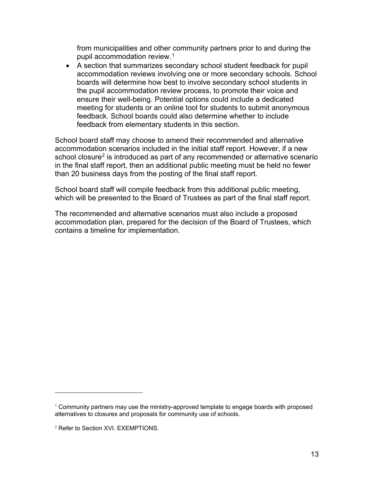from municipalities and other community partners prior to and during the pupil accommodation review.1

• A section that summarizes secondary school student feedback for pupil accommodation reviews involving one or more secondary schools. School boards will determine how best to involve secondary school students in the pupil accommodation review process, to promote their voice and ensure their well-being. Potential options could include a dedicated meeting for students or an online tool for students to submit anonymous feedback. School boards could also determine whether to include feedback from elementary students in this section.

School board staff may choose to amend their recommended and alternative accommodation scenarios included in the initial staff report. However, if a new school closure<sup>2</sup> is introduced as part of any recommended or alternative scenario in the final staff report, then an additional public meeting must be held no fewer than 20 business days from the posting of the final staff report.

School board staff will compile feedback from this additional public meeting, which will be presented to the Board of Trustees as part of the final staff report.

The recommended and alternative scenarios must also include a proposed accommodation plan, prepared for the decision of the Board of Trustees, which contains a timeline for implementation.

 $1$  Community partners may use the ministry-approved template to engage boards with proposed alternatives to closures and proposals for community use of schools.

<sup>2</sup> Refer to Section XVI. EXEMPTIONS.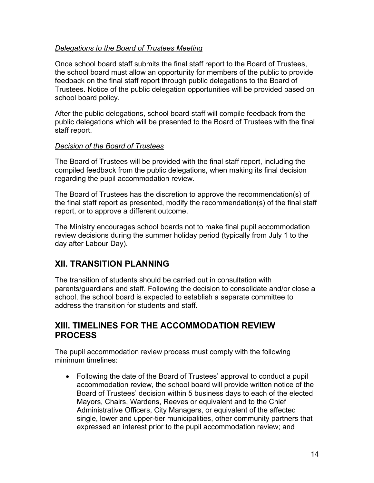### *Delegations to the Board of Trustees Meeting*

Once school board staff submits the final staff report to the Board of Trustees, the school board must allow an opportunity for members of the public to provide feedback on the final staff report through public delegations to the Board of Trustees. Notice of the public delegation opportunities will be provided based on school board policy.

After the public delegations, school board staff will compile feedback from the public delegations which will be presented to the Board of Trustees with the final staff report.

#### *Decision of the Board of Trustees*

The Board of Trustees will be provided with the final staff report, including the compiled feedback from the public delegations, when making its final decision regarding the pupil accommodation review.

The Board of Trustees has the discretion to approve the recommendation(s) of the final staff report as presented, modify the recommendation(s) of the final staff report, or to approve a different outcome.

The Ministry encourages school boards not to make final pupil accommodation review decisions during the summer holiday period (typically from July 1 to the day after Labour Day).

# <span id="page-13-0"></span>**XII. TRANSITION PLANNING**

The transition of students should be carried out in consultation with parents/guardians and staff. Following the decision to consolidate and/or close a school, the school board is expected to establish a separate committee to address the transition for students and staff.

### <span id="page-13-1"></span>**XIII. TIMELINES FOR THE ACCOMMODATION REVIEW PROCESS**

The pupil accommodation review process must comply with the following minimum timelines:

• Following the date of the Board of Trustees' approval to conduct a pupil accommodation review, the school board will provide written notice of the Board of Trustees' decision within 5 business days to each of the elected Mayors, Chairs, Wardens, Reeves or equivalent and to the Chief Administrative Officers, City Managers, or equivalent of the affected single, lower and upper-tier municipalities, other community partners that expressed an interest prior to the pupil accommodation review; and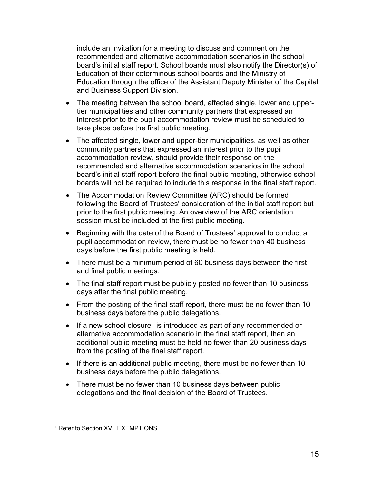include an invitation for a meeting to discuss and comment on the recommended and alternative accommodation scenarios in the school board's initial staff report. School boards must also notify the Director(s) of Education of their coterminous school boards and the Ministry of Education through the office of the Assistant Deputy Minister of the Capital and Business Support Division.

- The meeting between the school board, affected single, lower and uppertier municipalities and other community partners that expressed an interest prior to the pupil accommodation review must be scheduled to take place before the first public meeting.
- The affected single, lower and upper-tier municipalities, as well as other community partners that expressed an interest prior to the pupil accommodation review, should provide their response on the recommended and alternative accommodation scenarios in the school board's initial staff report before the final public meeting, otherwise school boards will not be required to include this response in the final staff report.
- The Accommodation Review Committee (ARC) should be formed following the Board of Trustees' consideration of the initial staff report but prior to the first public meeting. An overview of the ARC orientation session must be included at the first public meeting.
- Beginning with the date of the Board of Trustees' approval to conduct a pupil accommodation review, there must be no fewer than 40 business days before the first public meeting is held.
- There must be a minimum period of 60 business days between the first and final public meetings.
- The final staff report must be publicly posted no fewer than 10 business days after the final public meeting.
- From the posting of the final staff report, there must be no fewer than 10 business days before the public delegations.
- If a new school closure<sup>1</sup> is introduced as part of any recommended or alternative accommodation scenario in the final staff report, then an additional public meeting must be held no fewer than 20 business days from the posting of the final staff report.
- If there is an additional public meeting, there must be no fewer than 10 business days before the public delegations.
- There must be no fewer than 10 business days between public delegations and the final decision of the Board of Trustees.

<sup>&</sup>lt;sup>1</sup> Refer to Section XVI. EXEMPTIONS.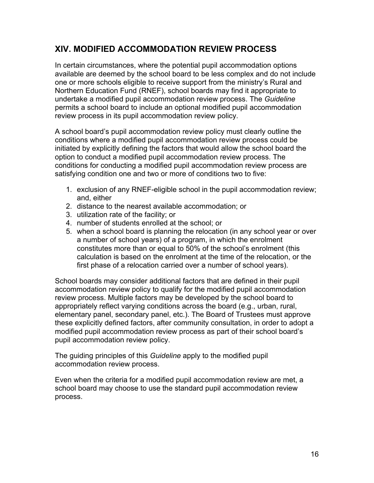# <span id="page-15-0"></span>**XIV. MODIFIED ACCOMMODATION REVIEW PROCESS**

In certain circumstances, where the potential pupil accommodation options available are deemed by the school board to be less complex and do not include one or more schools eligible to receive support from the ministry's Rural and Northern Education Fund (RNEF), school boards may find it appropriate to undertake a modified pupil accommodation review process. The *Guideline* permits a school board to include an optional modified pupil accommodation review process in its pupil accommodation review policy.

A school board's pupil accommodation review policy must clearly outline the conditions where a modified pupil accommodation review process could be initiated by explicitly defining the factors that would allow the school board the option to conduct a modified pupil accommodation review process. The conditions for conducting a modified pupil accommodation review process are satisfying condition one and two or more of conditions two to five:

- 1. exclusion of any RNEF-eligible school in the pupil accommodation review; and, either
- 2. distance to the nearest available accommodation; or
- 3. utilization rate of the facility; or
- 4. number of students enrolled at the school; or
- 5. when a school board is planning the relocation (in any school year or over a number of school years) of a program, in which the enrolment constitutes more than or equal to 50% of the school's enrolment (this calculation is based on the enrolment at the time of the relocation, or the first phase of a relocation carried over a number of school years).

School boards may consider additional factors that are defined in their pupil accommodation review policy to qualify for the modified pupil accommodation review process. Multiple factors may be developed by the school board to appropriately reflect varying conditions across the board (e.g., urban, rural, elementary panel, secondary panel, etc.). The Board of Trustees must approve these explicitly defined factors, after community consultation, in order to adopt a modified pupil accommodation review process as part of their school board's pupil accommodation review policy.

The guiding principles of this *Guideline* apply to the modified pupil accommodation review process.

Even when the criteria for a modified pupil accommodation review are met, a school board may choose to use the standard pupil accommodation review process.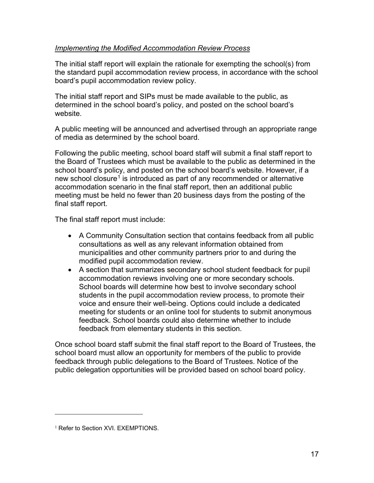### *Implementing the Modified Accommodation Review Process*

The initial staff report will explain the rationale for exempting the school(s) from the standard pupil accommodation review process, in accordance with the school board's pupil accommodation review policy.

The initial staff report and SIPs must be made available to the public, as determined in the school board's policy, and posted on the school board's website.

A public meeting will be announced and advertised through an appropriate range of media as determined by the school board.

Following the public meeting, school board staff will submit a final staff report to the Board of Trustees which must be available to the public as determined in the school board's policy, and posted on the school board's website. However, if a new school closure<sup>1</sup> is introduced as part of any recommended or alternative accommodation scenario in the final staff report, then an additional public meeting must be held no fewer than 20 business days from the posting of the final staff report.

The final staff report must include:

- A Community Consultation section that contains feedback from all public consultations as well as any relevant information obtained from municipalities and other community partners prior to and during the modified pupil accommodation review.
- A section that summarizes secondary school student feedback for pupil accommodation reviews involving one or more secondary schools. School boards will determine how best to involve secondary school students in the pupil accommodation review process, to promote their voice and ensure their well-being. Options could include a dedicated meeting for students or an online tool for students to submit anonymous feedback. School boards could also determine whether to include feedback from elementary students in this section.

Once school board staff submit the final staff report to the Board of Trustees, the school board must allow an opportunity for members of the public to provide feedback through public delegations to the Board of Trustees. Notice of the public delegation opportunities will be provided based on school board policy.

<sup>&</sup>lt;sup>1</sup> Refer to Section XVI. EXEMPTIONS.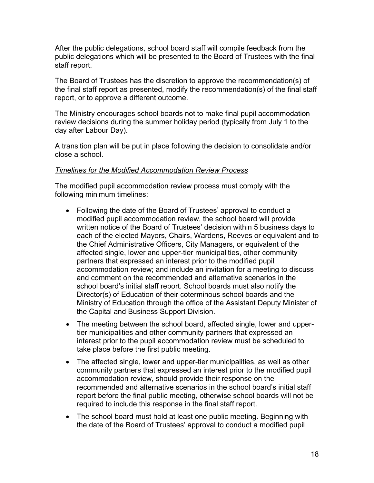After the public delegations, school board staff will compile feedback from the public delegations which will be presented to the Board of Trustees with the final staff report.

The Board of Trustees has the discretion to approve the recommendation(s) of the final staff report as presented, modify the recommendation(s) of the final staff report, or to approve a different outcome.

The Ministry encourages school boards not to make final pupil accommodation review decisions during the summer holiday period (typically from July 1 to the day after Labour Day).

A transition plan will be put in place following the decision to consolidate and/or close a school.

#### *Timelines for the Modified Accommodation Review Process*

The modified pupil accommodation review process must comply with the following minimum timelines:

- Following the date of the Board of Trustees' approval to conduct a modified pupil accommodation review, the school board will provide written notice of the Board of Trustees' decision within 5 business days to each of the elected Mayors, Chairs, Wardens, Reeves or equivalent and to the Chief Administrative Officers, City Managers, or equivalent of the affected single, lower and upper-tier municipalities, other community partners that expressed an interest prior to the modified pupil accommodation review; and include an invitation for a meeting to discuss and comment on the recommended and alternative scenarios in the school board's initial staff report. School boards must also notify the Director(s) of Education of their coterminous school boards and the Ministry of Education through the office of the Assistant Deputy Minister of the Capital and Business Support Division.
- The meeting between the school board, affected single, lower and uppertier municipalities and other community partners that expressed an interest prior to the pupil accommodation review must be scheduled to take place before the first public meeting.
- The affected single, lower and upper-tier municipalities, as well as other community partners that expressed an interest prior to the modified pupil accommodation review, should provide their response on the recommended and alternative scenarios in the school board's initial staff report before the final public meeting, otherwise school boards will not be required to include this response in the final staff report.
- The school board must hold at least one public meeting. Beginning with the date of the Board of Trustees' approval to conduct a modified pupil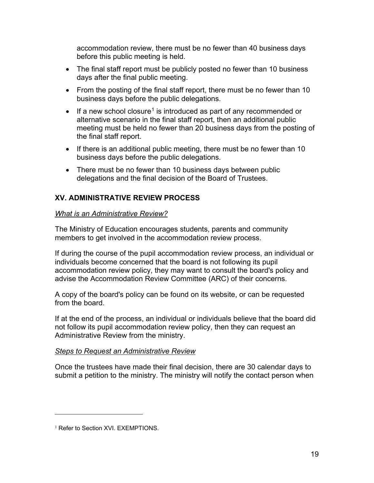accommodation review, there must be no fewer than 40 business days before this public meeting is held.

- The final staff report must be publicly posted no fewer than 10 business days after the final public meeting.
- From the posting of the final staff report, there must be no fewer than 10 business days before the public delegations.
- If a new school closure<sup>1</sup> is introduced as part of any recommended or alternative scenario in the final staff report, then an additional public meeting must be held no fewer than 20 business days from the posting of the final staff report.
- If there is an additional public meeting, there must be no fewer than 10 business days before the public delegations.
- There must be no fewer than 10 business days between public delegations and the final decision of the Board of Trustees.

### <span id="page-18-0"></span>**XV. ADMINISTRATIVE REVIEW PROCESS**

#### *What is an Administrative Review?*

The Ministry of Education encourages students, parents and community members to get involved in the accommodation review process.

If during the course of the pupil accommodation review process, an individual or individuals become concerned that the board is not following its pupil accommodation review policy, they may want to consult the board's policy and advise the Accommodation Review Committee (ARC) of their concerns.

A copy of the board's policy can be found on its website, or can be requested from the board.

If at the end of the process, an individual or individuals believe that the board did not follow its pupil accommodation review policy, then they can request an Administrative Review from the ministry.

#### *Steps to Request an Administrative Review*

Once the trustees have made their final decision, there are 30 calendar days to submit a petition to the ministry. The ministry will notify the contact person when

<sup>&</sup>lt;sup>1</sup> Refer to Section XVI. EXEMPTIONS.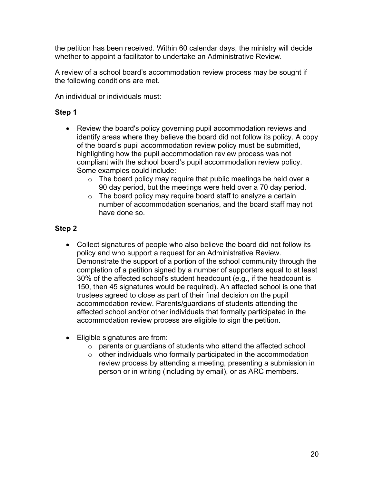the petition has been received. Within 60 calendar days, the ministry will decide whether to appoint a facilitator to undertake an Administrative Review.

A review of a school board's accommodation review process may be sought if the following conditions are met.

An individual or individuals must:

### **Step 1**

- Review the board's policy governing pupil accommodation reviews and identify areas where they believe the board did not follow its policy. A copy of the board's pupil accommodation review policy must be submitted, highlighting how the pupil accommodation review process was not compliant with the school board's pupil accommodation review policy. Some examples could include:
	- $\circ$  The board policy may require that public meetings be held over a 90 day period, but the meetings were held over a 70 day period.
	- $\circ$  The board policy may require board staff to analyze a certain number of accommodation scenarios, and the board staff may not have done so.

### **Step 2**

- Collect signatures of people who also believe the board did not follow its policy and who support a request for an Administrative Review. Demonstrate the support of a portion of the school community through the completion of a petition signed by a number of supporters equal to at least 30% of the affected school's student headcount (e.g., if the headcount is 150, then 45 signatures would be required). An affected school is one that trustees agreed to close as part of their final decision on the pupil accommodation review. Parents/guardians of students attending the affected school and/or other individuals that formally participated in the accommodation review process are eligible to sign the petition.
- Eligible signatures are from:
	- o parents or guardians of students who attend the affected school
	- $\circ$  other individuals who formally participated in the accommodation review process by attending a meeting, presenting a submission in person or in writing (including by email), or as ARC members.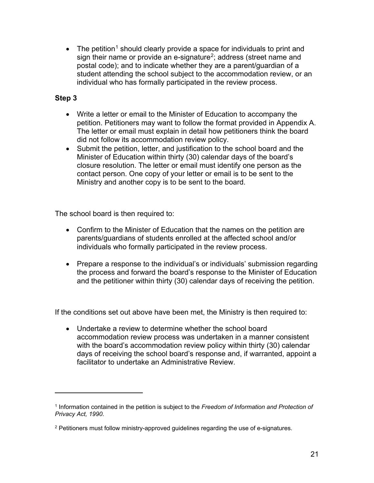• The petition<sup>1</sup> should clearly provide a space for individuals to print and sign their name or provide an e-signature<sup>2</sup>; address (street name and postal code); and to indicate whether they are a parent/guardian of a student attending the school subject to the accommodation review, or an individual who has formally participated in the review process.

### **Step 3**

- Write a letter or email to the Minister of Education to accompany the petition. Petitioners may want to follow the format provided in Appendix A. The letter or email must explain in detail how petitioners think the board did not follow its accommodation review policy.
- Submit the petition, letter, and justification to the school board and the Minister of Education within thirty (30) calendar days of the board's closure resolution. The letter or email must identify one person as the contact person. One copy of your letter or email is to be sent to the Ministry and another copy is to be sent to the board.

The school board is then required to:

- Confirm to the Minister of Education that the names on the petition are parents/guardians of students enrolled at the affected school and/or individuals who formally participated in the review process.
- Prepare a response to the individual's or individuals' submission regarding the process and forward the board's response to the Minister of Education and the petitioner within thirty (30) calendar days of receiving the petition.

If the conditions set out above have been met, the Ministry is then required to:

• Undertake a review to determine whether the school board accommodation review process was undertaken in a manner consistent with the board's accommodation review policy within thirty (30) calendar days of receiving the school board's response and, if warranted, appoint a facilitator to undertake an Administrative Review.

<sup>1</sup> Information contained in the petition is subject to the *Freedom of Information and Protection of Privacy Act, 1990*.

 $2$  Petitioners must follow ministry-approved guidelines regarding the use of e-signatures.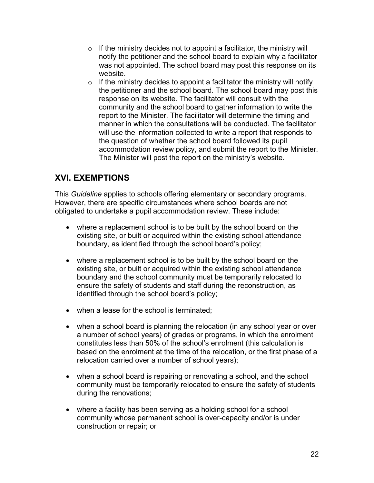- $\circ$  If the ministry decides not to appoint a facilitator, the ministry will notify the petitioner and the school board to explain why a facilitator was not appointed. The school board may post this response on its website.
- $\circ$  If the ministry decides to appoint a facilitator the ministry will notify the petitioner and the school board. The school board may post this response on its website. The facilitator will consult with the community and the school board to gather information to write the report to the Minister. The facilitator will determine the timing and manner in which the consultations will be conducted. The facilitator will use the information collected to write a report that responds to the question of whether the school board followed its pupil accommodation review policy, and submit the report to the Minister. The Minister will post the report on the ministry's website.

# <span id="page-21-0"></span>**XVI. EXEMPTIONS**

This *Guideline* applies to schools offering elementary or secondary programs. However, there are specific circumstances where school boards are not obligated to undertake a pupil accommodation review. These include:

- where a replacement school is to be built by the school board on the existing site, or built or acquired within the existing school attendance boundary, as identified through the school board's policy;
- where a replacement school is to be built by the school board on the existing site, or built or acquired within the existing school attendance boundary and the school community must be temporarily relocated to ensure the safety of students and staff during the reconstruction, as identified through the school board's policy;
- when a lease for the school is terminated;
- when a school board is planning the relocation (in any school year or over a number of school years) of grades or programs, in which the enrolment constitutes less than 50% of the school's enrolment (this calculation is based on the enrolment at the time of the relocation, or the first phase of a relocation carried over a number of school years);
- when a school board is repairing or renovating a school, and the school community must be temporarily relocated to ensure the safety of students during the renovations;
- where a facility has been serving as a holding school for a school community whose permanent school is over-capacity and/or is under construction or repair; or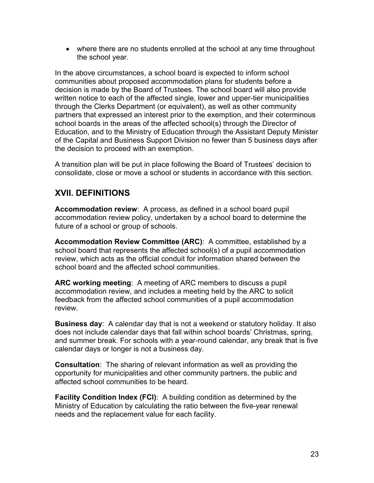• where there are no students enrolled at the school at any time throughout the school year.

In the above circumstances, a school board is expected to inform school communities about proposed accommodation plans for students before a decision is made by the Board of Trustees. The school board will also provide written notice to each of the affected single, lower and upper-tier municipalities through the Clerks Department (or equivalent), as well as other community partners that expressed an interest prior to the exemption, and their coterminous school boards in the areas of the affected school(s) through the Director of Education, and to the Ministry of Education through the Assistant Deputy Minister of the Capital and Business Support Division no fewer than 5 business days after the decision to proceed with an exemption.

A transition plan will be put in place following the Board of Trustees' decision to consolidate, close or move a school or students in accordance with this section.

### <span id="page-22-0"></span>**XVII. DEFINITIONS**

**Accommodation review**: A process, as defined in a school board pupil accommodation review policy, undertaken by a school board to determine the future of a school or group of schools.

**Accommodation Review Committee (ARC)**: A committee, established by a school board that represents the affected school(s) of a pupil accommodation review, which acts as the official conduit for information shared between the school board and the affected school communities.

**ARC working meeting**: A meeting of ARC members to discuss a pupil accommodation review, and includes a meeting held by the ARC to solicit feedback from the affected school communities of a pupil accommodation review.

**Business day**: A calendar day that is not a weekend or statutory holiday. It also does not include calendar days that fall within school boards' Christmas, spring, and summer break. For schools with a year-round calendar, any break that is five calendar days or longer is not a business day.

**Consultation**: The sharing of relevant information as well as providing the opportunity for municipalities and other community partners, the public and affected school communities to be heard.

**Facility Condition Index (FCI)**: A building condition as determined by the Ministry of Education by calculating the ratio between the five-year renewal needs and the replacement value for each facility.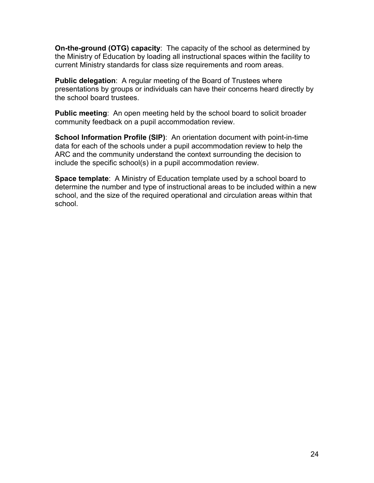**On-the-ground (OTG) capacity**: The capacity of the school as determined by the Ministry of Education by loading all instructional spaces within the facility to current Ministry standards for class size requirements and room areas.

**Public delegation**: A regular meeting of the Board of Trustees where presentations by groups or individuals can have their concerns heard directly by the school board trustees.

**Public meeting**: An open meeting held by the school board to solicit broader community feedback on a pupil accommodation review.

**School Information Profile (SIP):** An orientation document with point-in-time data for each of the schools under a pupil accommodation review to help the ARC and the community understand the context surrounding the decision to include the specific school(s) in a pupil accommodation review.

**Space template**: A Ministry of Education template used by a school board to determine the number and type of instructional areas to be included within a new school, and the size of the required operational and circulation areas within that school.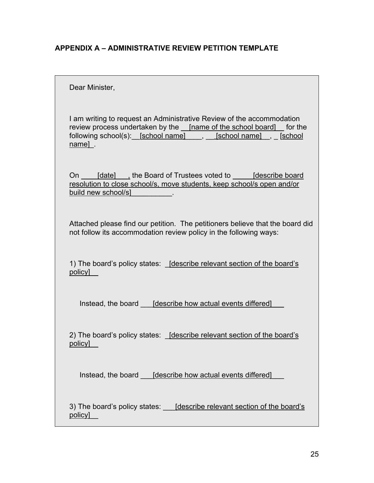### <span id="page-24-0"></span>**APPENDIX A – ADMINISTRATIVE REVIEW PETITION TEMPLATE**

Dear Minister,

review process undertaken by the \_\_<u>[name of the school board]\_\_</u> for the following school(s):\_\_[<u>school name]</u> \_\_\_, \_\_\_[<u>school name]</u> \_\_, \_\_[<u>school</u> <u>name]</u> . I am writing to request an Administrative Review of the accommodation

On \_\_\_\_\_[date] \_\_\_, the Board of Trustees voted to \_\_\_\_\_\_[describe board build new school/s] \_\_\_\_\_\_\_\_\_. resolution to close school/s, move students, keep school/s open and/or

Attached please find our petition. The petitioners believe that the board did not follow its accommodation review policy in the following ways:

1) The board's policy states: <u>Jdescribe relevant section of the board's</u> \_\_ policy]

Instead, the board \_\_\_ [describe how actual events differed] \_\_\_

2) The board's policy states: <u>[describe relevant section of the board's</u> \_\_ policy]

Instead, the board \_\_\_ [describe how actual events differed] \_\_\_

3) The board's policy states: \_\_\_ <u>[describe relevant section of the board's</u> \_\_ policy]